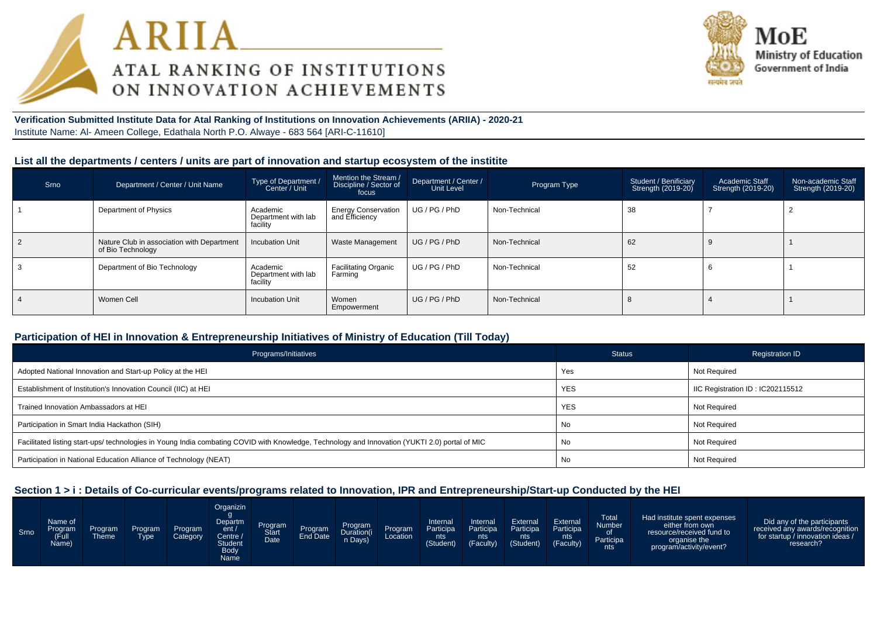



## **Verification Submitted Institute Data for Atal Ranking of Institutions on Innovation Achievements (ARIIA) - 2020-21**Institute Name: Al- Ameen College, Edathala North P.O. Alwaye - 683 564 [ARI-C-11610]

### **List all the departments / centers / units are part of innovation and startup ecosystem of the institite**

| Srno | Department / Center / Unit Name                                 | Type of Department /<br>Center / Unit       | Mention the Stream /<br>Discipline / Sector of<br>focus | Department / Center /<br>Unit Level | Program Type  | Student / Benificiary<br>Strength (2019-20) | <b>Academic Staff</b><br><b>Strength (2019-20)</b> | Non-academic Staff<br>Strength (2019-20) |
|------|-----------------------------------------------------------------|---------------------------------------------|---------------------------------------------------------|-------------------------------------|---------------|---------------------------------------------|----------------------------------------------------|------------------------------------------|
|      | Department of Physics                                           | Academic<br>Department with lab<br>facility | <b>Energy Conservation</b><br>and Efficiency            | UG / PG / PhD                       | Non-Technical | 38                                          |                                                    |                                          |
|      | Nature Club in association with Department<br>of Bio Technology | <b>Incubation Unit</b>                      | Waste Management                                        | UG/PG/PhD                           | Non-Technical | 62                                          |                                                    |                                          |
|      | Department of Bio Technology                                    | Academic<br>Department with lab<br>facility | <b>Facilitating Organic</b><br>Farming                  | UG/PG/PhD                           | Non-Technical | 52                                          |                                                    |                                          |
|      | Women Cell                                                      | <b>Incubation Unit</b>                      | Women<br>Empowerment                                    | UG/PG/PhD                           | Non-Technical | 8                                           |                                                    |                                          |

## **Participation of HEI in Innovation & Entrepreneurship Initiatives of Ministry of Education (Till Today)**

| Programs/Initiatives                                                                                                                           | <b>Status</b> | <b>Registration ID</b>           |
|------------------------------------------------------------------------------------------------------------------------------------------------|---------------|----------------------------------|
| Adopted National Innovation and Start-up Policy at the HEI                                                                                     | Yes           | Not Required                     |
| Establishment of Institution's Innovation Council (IIC) at HEI                                                                                 | <b>YES</b>    | IIC Registration ID: IC202115512 |
| Trained Innovation Ambassadors at HEI                                                                                                          | <b>YES</b>    | Not Required                     |
| Participation in Smart India Hackathon (SIH)                                                                                                   | No            | Not Required                     |
| Facilitated listing start-ups/ technologies in Young India combating COVID with Knowledge, Technology and Innovation (YUKTI 2.0) portal of MIC | No            | Not Required                     |
| Participation in National Education Alliance of Technology (NEAT)                                                                              | No            | Not Required                     |

# **Section 1 > i : Details of Co-curricular events/programs related to Innovation, IPR and Entrepreneurship/Start-up Conducted by the HEI**

| Srno | Name of<br>Program<br>Full<br>Name) | Program<br><b>Theme</b> | <b>Program</b><br><b>Tvpe</b> | Program<br>Category | Organizin<br>Departm<br>ent/<br>Centre $\sqrt{ }$<br><b>Student</b><br><b>Body</b><br>Name | Program<br>Date | Program | Program<br>Duration(i<br>n Days) | <b>Program</b><br>Location | Internal<br>Participa<br>nts<br>(Student) | Internal<br>Participa<br>nts <b>I</b><br>(Faculty) | External<br>Participa<br>nts<br>(Student) | External<br>Participa<br>nts<br>(Faculty) | Total<br>Number<br>Participa<br>nts | Had institute spent expenses<br>either from own<br>resource/received fund to<br>organise the<br>program/activity/event? | Did any of the participants<br>received any awards/recognition<br>for startup / innovation ideas /<br>research? |
|------|-------------------------------------|-------------------------|-------------------------------|---------------------|--------------------------------------------------------------------------------------------|-----------------|---------|----------------------------------|----------------------------|-------------------------------------------|----------------------------------------------------|-------------------------------------------|-------------------------------------------|-------------------------------------|-------------------------------------------------------------------------------------------------------------------------|-----------------------------------------------------------------------------------------------------------------|
|------|-------------------------------------|-------------------------|-------------------------------|---------------------|--------------------------------------------------------------------------------------------|-----------------|---------|----------------------------------|----------------------------|-------------------------------------------|----------------------------------------------------|-------------------------------------------|-------------------------------------------|-------------------------------------|-------------------------------------------------------------------------------------------------------------------------|-----------------------------------------------------------------------------------------------------------------|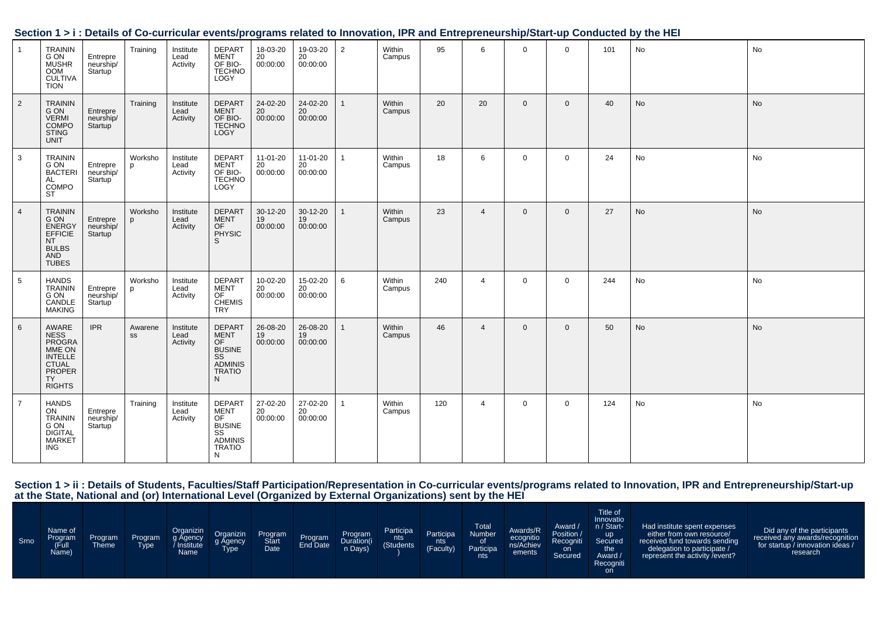| $\mathbf{1}$   | TRAININ<br>G ON<br><b>MUSHR</b><br><b>OOM</b><br><b>CULTIVA</b><br><b>TION</b>                | Entrepre<br>neurship/<br>Startup <sup>'</sup> | Training      | Institute<br>Lead<br>Activity | DEPART<br>MENT<br>OF BIO-<br>TECHNO<br>LOGY                               | 18-03-20<br>$20$<br>00:00:00 | 19-03-20<br>20<br>00:00:00 | $\overline{2}$ | Within<br>Campus | 95  | 6              | $\overline{0}$ | $\Omega$     | 101 | No        | No |
|----------------|-----------------------------------------------------------------------------------------------|-----------------------------------------------|---------------|-------------------------------|---------------------------------------------------------------------------|------------------------------|----------------------------|----------------|------------------|-----|----------------|----------------|--------------|-----|-----------|----|
| $\overline{2}$ | <b>TRAININ</b><br>G ON<br>VERMI<br>COMPO<br><b>STING</b><br>UNIT                              | Entrepre<br>neurship/<br>Startup              | Training      | Institute<br>Lead<br>Activity | DEPART<br>MENT<br>OF BIO-<br>TECHNO<br>LOGY                               | 24-02-20<br>20<br>00:00:00   | 24-02-20<br>20<br>00:00:00 | $\overline{1}$ | Within<br>Campus | 20  | 20             | $\mathbf{0}$   | $\mathbf{0}$ | 40  | <b>No</b> | No |
| 3              | TRAININ<br>G ON<br>BACTERI<br>AL<br>COMPO<br><b>ST</b>                                        | Entrepre<br>neurship/<br>Startup <sup>'</sup> | Worksho<br>p  | Institute<br>Lead<br>Activity | DEPART<br>MENT<br>OF BIO-<br>TECHNO<br>LOGY                               | 11-01-20<br>20<br>00:00:00   | 11-01-20<br>20<br>00:00:00 | $\mathbf{1}$   | Within<br>Campus | 18  | 6              | $\mathbf{0}$   | $\mathbf 0$  | 24  | No        | No |
| $\overline{4}$ | TRAININ<br>G ON<br>ENERGY<br>EFFICIE<br><b>NT</b><br>BULBS<br>AND<br><b>TUBES</b>             | Entrepre<br>neurship/<br>Startup              | Worksho       | Institute<br>Lead<br>Activity | DEPART<br>MENT<br>OF<br>PHYSIC<br>S                                       | 30-12-20<br>19<br>00:00:00   | 30-12-20<br>19<br>00:00:00 | $\mathbf{1}$   | Within<br>Campus | 23  | $\overline{4}$ | $\mathbf 0$    | $\mathbf 0$  | 27  | No        | No |
| 5              | <b>HANDS</b><br>TRAININ<br>G ON<br>CANDLE<br><b>MAKING</b>                                    | Entrepre<br>neurship/<br>Startup              | Worksho<br>p  | Institute<br>Lead<br>Activity | DEPART<br>MENT<br>OF<br>CHEMIS<br><b>TRY</b>                              | 10-02-20<br>20<br>00:00:00   | 15-02-20<br>20<br>00:00:00 | 6              | Within<br>Campus | 240 | $\overline{4}$ | $\overline{0}$ | $\mathbf 0$  | 244 | No        | No |
| 6              | AWARE<br>NESS<br>PROGRA<br>MME ON<br>INTELLE<br>CTUAL<br>PROPER<br><b>TY</b><br><b>RIGHTS</b> | <b>IPR</b>                                    | Awarene<br>SS | Institute<br>Lead<br>Activity | DEPART<br>MENT<br>OF<br>BUSINE<br>SS<br>ADMINIS<br>TRATIO<br>$\mathsf{N}$ | 26-08-20<br>19<br>00:00:00   | 26-08-20<br>19<br>00:00:00 | $\mathbf{1}$   | Within<br>Campus | 46  | $\overline{4}$ | $\mathbf{0}$   | $\mathbf{0}$ | 50  | No        | No |
| $\overline{7}$ | <b>HANDS</b><br>ON<br><b>TRAININ<br/>G ON<br/>DIGITAL<br/>MARKET</b><br><b>ING</b>            | Entrepre<br>neurship/<br>Startup <sup>'</sup> | Training      | Institute<br>Lead<br>Activity | DEPART<br>MENT<br>OF<br>BUSINE<br>SS<br>ADMINIS<br><b>TRATIO</b><br>N     | 27-02-20<br>20<br>00:00:00   | 27-02-20<br>20<br>00:00:00 | $\mathbf{1}$   | Within<br>Campus | 120 | $\overline{4}$ | $\overline{0}$ | $\mathbf 0$  | 124 | No        | No |

# **Section 1 > i : Details of Co-curricular events/programs related to Innovation, IPR and Entrepreneurship/Start-up Conducted by the HEI**

Section 1 > ii : Details of Students, Faculties/Staff Participation/Representation in Co-curricular events/programs related to Innovation, IPR and Entrepreneurship/Start-up<br>at the State, National and (or) International Lev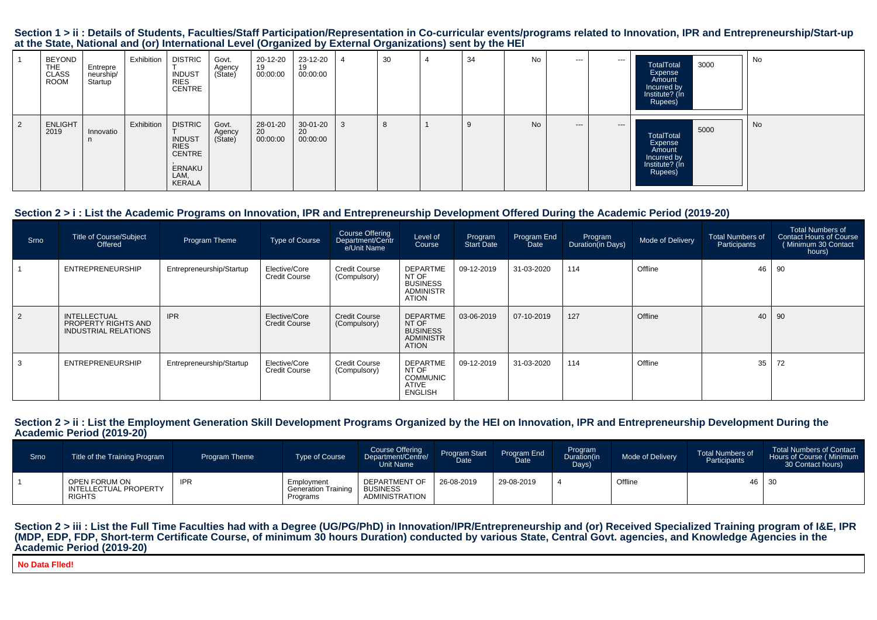#### Section 1 > ii : Details of Students, Faculties/Staff Participation/Representation in Co-curricular events/programs related to Innovation, IPR and Entrepreneurship/Start-up **at the State, National and (or) International Level (Organized by External Organizations) sent by the HEI**

|   | <b>BEYOND</b><br><b>THE</b><br><b>CLASS</b><br><b>ROOM</b> | Entrepre<br>neurship/<br>Startup | Exhibition | <b>DISTRIC</b><br><b>INDUST</b><br><b>RIES</b><br><b>CENTRE</b>                             | Govt.<br>Agency<br>(State) | 20-12-20<br>19<br>00:00:00 | 23-12-20<br>19<br>00:00:00 | 30 | 34 | No | $--$  | $- - -$ | 3000<br>TotalTotal<br>Expense<br>Amount<br>Incurred by<br>Institute? (In<br>Rupees) | No |
|---|------------------------------------------------------------|----------------------------------|------------|---------------------------------------------------------------------------------------------|----------------------------|----------------------------|----------------------------|----|----|----|-------|---------|-------------------------------------------------------------------------------------|----|
| 2 | <b>ENLIGHT</b><br>2019                                     | Innovatio<br>n                   | Exhibition | <b>DISTRIC</b><br><b>INDUST</b><br><b>RIES</b><br><b>CENTRE</b><br>ERNAKU<br>LAM,<br>KERALA | Govt.<br>Agency<br>(State) | 28-01-20<br>20<br>00:00:00 | 30-01-20<br>20<br>00:00:00 | -8 |    | No | $---$ | $---$   | 5000<br>TotalTotal<br>Expense<br>Amount<br>Incurred by<br>Institute? (In<br>Rupees) | No |

# **Section 2 > i : List the Academic Programs on Innovation, IPR and Entrepreneurship Development Offered During the Academic Period (2019-20)**

| Srno      | <b>Title of Course/Subject</b><br>Offered                          | Program Theme            | <b>Type of Course</b>                 | Course Offering<br>Department/Centr<br>e/Unit Name | Level of<br>Course                                                              | Program<br><b>Start Date</b> | Program End<br><b>Date</b> | Program<br>Duration(in Days) | Mode of Delivery | <b>Total Numbers of</b><br>Participants | <b>Total Numbers of</b><br>Contact Hours of Course<br>(Minimum 30 Contact<br>hours) |
|-----------|--------------------------------------------------------------------|--------------------------|---------------------------------------|----------------------------------------------------|---------------------------------------------------------------------------------|------------------------------|----------------------------|------------------------------|------------------|-----------------------------------------|-------------------------------------------------------------------------------------|
|           | ENTREPRENEURSHIP                                                   | Entrepreneurship/Startup | Elective/Core<br><b>Credit Course</b> | <b>Credit Course</b><br>(Compulsory)               | <b>DEPARTME</b><br>NT OF<br><b>BUSINESS</b><br><b>ADMINISTR</b><br><b>ATION</b> | 09-12-2019                   | 31-03-2020                 | 114                          | Offline          | 46                                      | 90                                                                                  |
| $\vert$ 2 | <b>INTELLECTUAL</b><br>PROPERTY RIGHTS AND<br>INDUSTRIAL RELATIONS | <b>IPR</b>               | Elective/Core<br><b>Credit Course</b> | <b>Credit Course</b><br>(Compulsory)               | <b>DEPARTME</b><br>NT OF<br><b>BUSINESS</b><br><b>ADMINISTR</b><br><b>ATION</b> | 03-06-2019                   | 07-10-2019                 | 127                          | Offline          | 40                                      | 90                                                                                  |
| 3         | ENTREPRENEURSHIP                                                   | Entrepreneurship/Startup | Elective/Core<br><b>Credit Course</b> | <b>Credit Course</b><br>(Compulsory)               | DEPARTME<br>NT OF<br><b>COMMUNIC</b><br>ATIVE<br><b>ENGLISH</b>                 | 09-12-2019                   | 31-03-2020                 | 114                          | Offline          | 35                                      | 72                                                                                  |

#### Section 2 > ii : List the Employment Generation Skill Development Programs Organized by the HEI on Innovation, IPR and Entrepreneurship Development During the **Academic Period (2019-20)**

| Srno <sup>1</sup> | Title of the Training Program                             | <b>Program Theme</b> | <b>Type of Course</b>                                | Course Offering<br>Department/Centre/<br>Unit Name        | Program Start<br>Date | Program End<br><b>Date</b> | Program<br>Duration(in<br>Days) | Mode of Delivery | <b>Total Numbers of</b><br>Participants | <b>Total Numbers of Contact</b><br>Hours of Course (Minimum<br>30 Contact hours) |
|-------------------|-----------------------------------------------------------|----------------------|------------------------------------------------------|-----------------------------------------------------------|-----------------------|----------------------------|---------------------------------|------------------|-----------------------------------------|----------------------------------------------------------------------------------|
|                   | OPEN FORUM ON<br>' INTELLECTUAL PROPERTY<br><b>RIGHTS</b> | <b>IPR</b>           | Employment<br><b>Generation Training</b><br>Programs | <b>DEPARTMENT OF</b><br><b>BUSINESS</b><br>ADMINISTRATION | 26-08-2019            | 29-08-2019                 |                                 | Offline          | 46 30                                   |                                                                                  |

#### Section 2 > iii : List the Full Time Faculties had with a Degree (UG/PG/PhD) in Innovation/IPR/Entrepreneurship and (or) Received Specialized Training program of I&E, IPR **(MDP, EDP, FDP, Short-term Certificate Course, of minimum 30 hours Duration) conducted by various State, Central Govt. agencies, and Knowledge Agencies in theAcademic Period (2019-20)**

**No Data Flled!**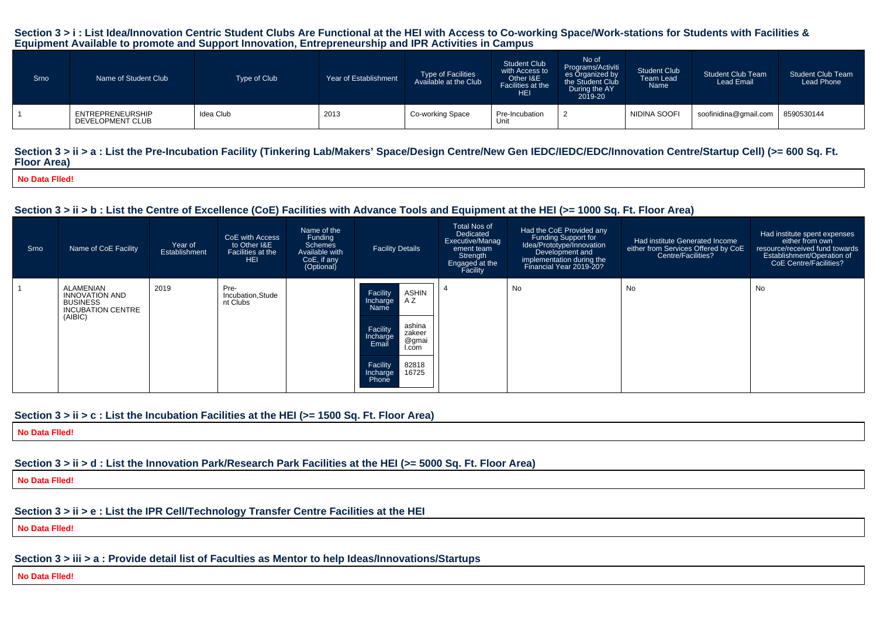#### **Section 3 > i : List Idea/Innovation Centric Student Clubs Are Functional at the HEI with Access to Co-working Space/Work-stations for Students with Facilities &Equipment Available to promote and Support Innovation, Entrepreneurship and IPR Activities in Campus**

| Srno | Name of Student Club                 | Type of Club | Year of Establishment | <b>Type of Facilities</b><br>Available at the Club | <b>Student Club</b><br>with Access to<br>Other I&E<br>Facilities at the<br><b>HEI</b> | No of<br>Programs/Activiti<br>es Organized by<br>the Student Club<br>During the AY<br>2019-20 | <b>Student Club</b><br><b>Team Lead</b><br>Name | <b>Student Club Team</b><br>Lead Email | <b>Student Club Team</b><br>Lead Phone |
|------|--------------------------------------|--------------|-----------------------|----------------------------------------------------|---------------------------------------------------------------------------------------|-----------------------------------------------------------------------------------------------|-------------------------------------------------|----------------------------------------|----------------------------------------|
|      | ENTREPRENEURSHIP<br>DEVELOPMENT CLUB | Idea Club    | 2013                  | Co-working Space                                   | Pre-Incubation<br>Unit                                                                |                                                                                               | NIDINA SOOFI                                    | soofinidina@gmail.com                  | 8590530144                             |

#### Section  $3 > i$  i > a : List the Pre-Incubation Facility (Tinkering Lab/Makers' Space/Design Centre/New Gen IEDC/IEDC/EDC/Innovation Centre/Startup Cell) (>= 600 Sq. Ft. **Floor Area)**

**No Data Flled!**

## **Section 3 > ii > b : List the Centre of Excellence (CoE) Facilities with Advance Tools and Equipment at the HEI (>= 1000 Sq. Ft. Floor Area)**

| Srno | Name of CoE Facility                                                                         | Year of<br>Establishment | CoE with Access<br>to Other I&E<br>Facilities at the<br>HEI. | Name of the<br>Funding<br>Schemes<br>Available with<br>CoE, if any<br>(Optional) | <b>Facility Details</b>                                                                                                                                                      | <b>Total Nos of</b><br>Dedicated<br>Executive/Manag<br>ement team<br>Strength<br>Engaged at the<br>Facility | Had the CoE Provided any<br>Funding Support for<br>Idea/Prototype/Innovation<br>Development and<br>implementation during the<br>Financial Year 2019-20? | Had institute Generated Income<br>either from Services Offered by CoE<br>Centre/Facilities? | Had institute spent expenses<br>either from own<br>resource/received fund towards<br>Establishment/Operation of<br>CoE Centre/Facilities? |
|------|----------------------------------------------------------------------------------------------|--------------------------|--------------------------------------------------------------|----------------------------------------------------------------------------------|------------------------------------------------------------------------------------------------------------------------------------------------------------------------------|-------------------------------------------------------------------------------------------------------------|---------------------------------------------------------------------------------------------------------------------------------------------------------|---------------------------------------------------------------------------------------------|-------------------------------------------------------------------------------------------------------------------------------------------|
|      | ALAMENIAN<br><b>INNOVATION AND</b><br><b>BUSINESS</b><br><b>INCUBATION CENTRE</b><br>(AIBIC) | 2019                     | Pre-<br>Incubation, Stude<br>nt Clubs                        |                                                                                  | <b>ASHIN</b><br>Facility<br>AZ<br>Incharge<br>Name<br>ashina<br>Facility<br>zakeer<br>Incharge<br>@gmai<br>Email<br>I.com<br>82818<br>Facility<br>16725<br>Incharge<br>Phone |                                                                                                             | No                                                                                                                                                      | No                                                                                          | No                                                                                                                                        |

## **Section 3 > ii > c : List the Incubation Facilities at the HEI (>= 1500 Sq. Ft. Floor Area)**

**No Data Flled!**

# **Section 3 > ii > d : List the Innovation Park/Research Park Facilities at the HEI (>= 5000 Sq. Ft. Floor Area)**

**No Data Flled!**

# **Section 3 > ii > e : List the IPR Cell/Technology Transfer Centre Facilities at the HEI**

**No Data Flled!**

**Section 3 > iii > a : Provide detail list of Faculties as Mentor to help Ideas/Innovations/Startups**

**No Data Flled!**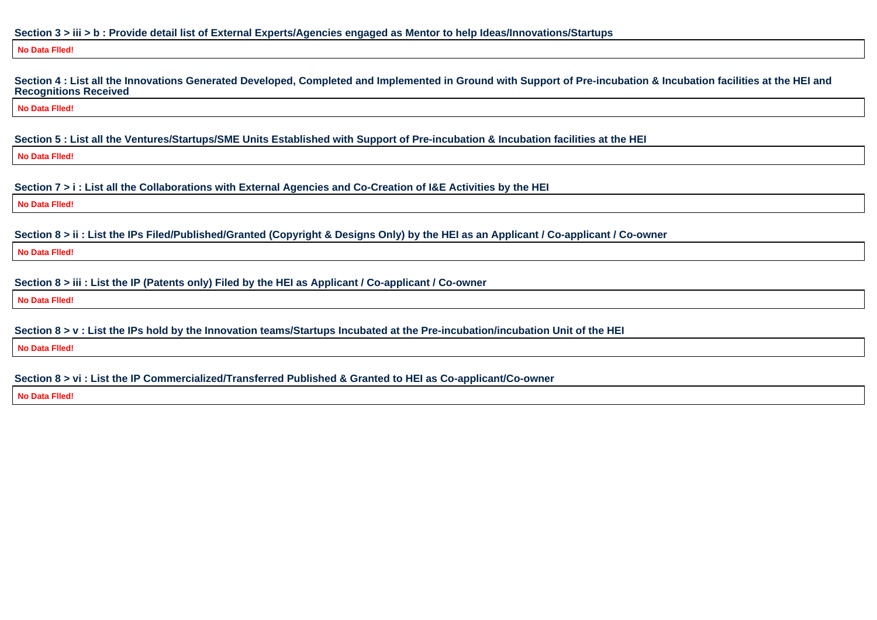#### **Section 3 > iii > b : Provide detail list of External Experts/Agencies engaged as Mentor to help Ideas/Innovations/Startups**

#### **No Data Flled!**

**Section 4 : List all the Innovations Generated Developed, Completed and Implemented in Ground with Support of Pre-incubation & Incubation facilities at the HEI andRecognitions Received**

**No Data Flled!**

**Section 5 : List all the Ventures/Startups/SME Units Established with Support of Pre-incubation & Incubation facilities at the HEI**

**No Data Flled!**

**Section 7 > i : List all the Collaborations with External Agencies and Co-Creation of I&E Activities by the HEI**

**No Data Flled!**

**Section 8 > ii : List the IPs Filed/Published/Granted (Copyright & Designs Only) by the HEI as an Applicant / Co-applicant / Co-owner**

**No Data Flled!**

**Section 8 > iii : List the IP (Patents only) Filed by the HEI as Applicant / Co-applicant / Co-owner**

**No Data Flled!**

**Section 8 > v : List the IPs hold by the Innovation teams/Startups Incubated at the Pre-incubation/incubation Unit of the HEI**

**No Data Flled!**

**Section 8 > vi : List the IP Commercialized/Transferred Published & Granted to HEI as Co-applicant/Co-owner**

**No Data Flled!**